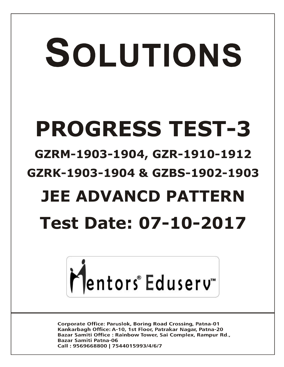# SOLUTIONS **PROGRESS TEST-3 GZRM-1903-1904, GZR-1910-1912 GZRK-1903-1904 & GZBS-1902-1903 JEE ADVANCD PATTERN Test Date: 07-10-2017**



**Corporate Office: Paruslok, Boring Road Crossing, Patna-01** Kankarbagh Office: A-10, 1st Floor, Patrakar Nagar, Patna-20 Bazar Samiti Office: Rainbow Tower, Sai Complex, Rampur Rd., **Bazar Samiti Patna-06** Call: 9569668800 | 7544015993/4/6/7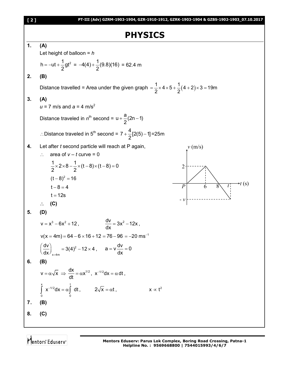## **PHYSICS**



Mentors Eduserv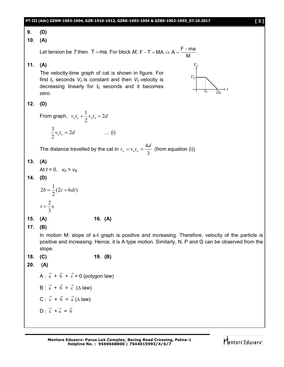#### **PT-III (Adv) GZRM-1903-1904, GZR-1910-1912, GZRK-1903-1904 & GZBS-1902-1903\_07.10.2017 [ 3 ] 9. (D) 10. (A)** Let tension be T then. T = ma. For block M, F – T = MA  $\Rightarrow$  A =  $\frac{F - ma}{M}$ M  $-T = MA \Rightarrow A = \frac{F-}{A}$ **11. (A)** The velocity-time graph of cat is shown in figure. For first  $t_0$  seconds  $V_0$  is constant and then  $V_0$  velocity is decreasing linearly for  $t_0$  seconds and it becomes zero. **12. (D)** From graph,  $v_0 t_0 + \frac{1}{2} v_0 t_0 = 2d$ 2  $_0t_0 + \frac{1}{2}v_0t_0 =$  $v_0 t_0 = 2d$ 2  $\frac{3}{2}v_0 t_0 = 2d$  ... (i) The distance travelled by the cat in 3 4  $0 \t 0 \t 0$  $t_0 = v_0 t_0 = \frac{4d}{2}$  (from equation (i)) **13. (A)** At  $t = 0$ ,  $v_A > v_B$ **14. (D)**  $(2c + 6dt)$ 2  $2b = \frac{1}{2}(2c + 6dt)$ s 3  $t = \frac{2}{3}$ **15. (A) 16. (A) 17. (B)** In motion M: slope of s-t graph is positive and increasing. Therefore, velocity of the particle is positive and increasing. Hence, it is A type motion. Similarly, N, P and Q can be observed from the slope. **18. (C) 19. (B) 20. (A)** A :  $\vec{a} + \vec{b} + \vec{c} = 0$  (polygon law) B :  $\vec{a} + \vec{b} = \vec{c}$  ( $\triangle$  law) C :  $\vec{c} + \vec{b} = \vec{a} (\Delta \text{ law})$  $D: \vec{c} + \vec{a} = \vec{b}$ *t VC* 2*t*<sup>0</sup> *V*0 *t*0

Mentors Eduserv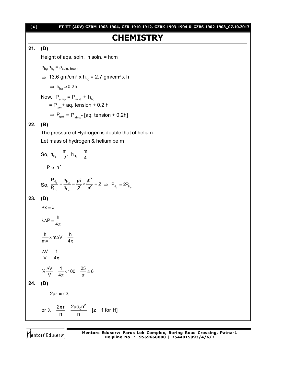## **CHEMISTRY**

#### **21. (D)**

Height of aqs. soln, h soln. = hcm

$$
\rho_{hg} h_{hg} = \rho_{soln. \text{ hsoln}}.
$$

$$
\Rightarrow 13.6 \text{ gm/cm}^3 \text{ x h}_{\text{hg}} = 2.7 \text{ gm/cm}^3 \text{ x h}
$$

 $\Rightarrow$  h<sub>ha</sub>  $\simeq$  0.2h

Now,  $P_{\text{atmp}} = P_{\text{mixt}} + h_{\text{hg}}$ = P<sub>gas</sub>+ aq. tension + 0.2 h  $\Rightarrow$  P<sub>gas</sub> = P<sub>atmp</sub>- [aq. tension + 0.2h]

#### **22. (B)**

The pressure of Hydrogen is double that of helium. Let mass of hydrogen & helium be m

So, 
$$
h_{H_2} = \frac{m}{2}
$$
,  $h_{H_e} = \frac{m}{4}$   
\n $\therefore P \alpha h'$   
\nSo,  $\frac{P_{H_2}}{P_{Hc}} = \frac{n_{H_2}}{n_{H_e}} = \frac{m}{2} \times \frac{4}{m} = 2 \implies P_{H_2} = 2P_{H_e}$   
\n23. (D)  
\n $\Delta x = \lambda$   
\n $\lambda \Delta P = \frac{h}{4\pi}$   
\n $\frac{h}{mv} \times m \Delta V = \frac{h}{4\pi}$   
\n $\frac{\Delta V}{V} = \frac{1}{4\pi}$   
\n $\% \frac{\Delta V}{V} = \frac{1}{4\pi} \times 100 = \frac{25}{\pi} \approx 8$   
\n24. (D)  
\n $2\pi r = n \lambda$   
\nor  $\lambda = \frac{2\pi r}{n} = \frac{2\pi a_0 n^2}{n}$  [z = 1 for H]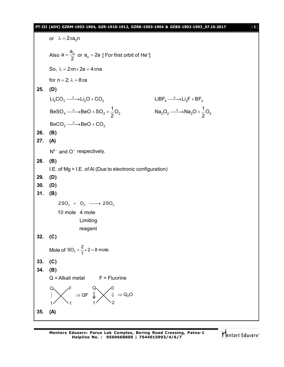#### **PT-III (ADV) GZRM-1903-1904, GZR-1910-1912, GZRK-1903-1904 & GZBS-1902-1903\_07.10.2017** [ **5** ]

or  $\lambda = 2\pi a_0 n$ Also  $a = \frac{a_0}{2}$  $=\frac{a_0}{2}$  or  $a_0 = 2a$  [ For first orbit of He<sup>+</sup>] So,  $\lambda = 2\pi n \times 2a = 4\pi n a$ for  $n = 2$ ;  $\lambda = 8\pi a$ **25. (D)**  $Li_2CO_3 \xrightarrow{\Delta} Li_2O + CO_2$  $LiBF_4 \xrightarrow{\Delta} Li_2F + BF_3$  $4 \rightarrow 0.00 + 0.02 + 0.02$  $BeSO_4 \longrightarrow BeO + SO_2 + \frac{1}{2}O$ 2  $\longrightarrow$ BeO + SO<sub>2</sub> + - $2^2$   $\rightarrow$   $\rightarrow$   $\sqrt{a_2}$  $\rightarrow$   $\rightarrow$   $\sqrt{2}$  $\text{Na}_2\text{O}_2 \longrightarrow \text{Na}_2\text{O} + \frac{1}{2}\text{O}$ 2  $\longrightarrow$ Na<sub>2</sub>O + - $BeCO<sub>3</sub> \longrightarrow BeO + CO<sub>2</sub>$ **26. (B) 27. (A)**  $N^{3-}$  and O<sup>+</sup> respectively. **28. (B)** I.E. of Mg > I.E. of Al (Due to electronic configuration) **29. (D) 30. (D) 31. (B)**  $2SO_2 + O_2 \longrightarrow 2SO_3$ 10 mole 4 mole Limiting reagent **32. (C)** Mole of  $SO_3 = \frac{2}{1} \times 2 = 8$  mole. **33. (C) 34. (B)**  $Q =$  Alkali metal  $F =$  Fluorine Q F  $1/$   $\sqrt{1}$  $\Rightarrow$  QF Q  $\sqrt{0}$  $1 / 2$  $\Downarrow \Rightarrow Q_2O$ **35. (A)**

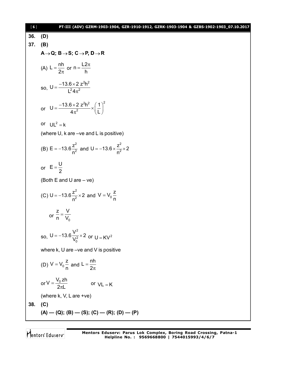36. (D)  
\n37. (B)  
\n
$$
A\rightarrow Q; B\rightarrow S; C\rightarrow P, D\rightarrow R
$$
  
\n(A)  $L = \frac{nh}{2\pi}$  or  $n = \frac{L2\pi}{h}$   
\nso,  $U = \frac{-13.6 \times 2 \times 2^2 h^2}{L^2 4\pi^2}$   
\nor  $U = \frac{-13.6 \times 2 \times 2^2 h^2}{4\pi^2} \times (\frac{1}{L})^2$   
\nor  $UL^2 = k$   
\n(where U, k are -ve and L is positive)  
\n(B)  $E = -13.6 \frac{z^2}{n^2}$  and  $U = -13.6 \times \frac{z^2}{n^2} \times 2$   
\nor  $E = \frac{U}{2}$   
\n(Both E and U are -ve)  
\n(C)  $U = -13.6 \frac{z^2}{n^2} \times 2$  and  $V = V_0 \frac{z}{n}$   
\nor  $\frac{z}{n} = \frac{V}{V_0}$   
\nso,  $U = -13.6 \frac{V^2}{V_0^2} \times 2$  or  $U = KV^2$   
\nwhere k, U are -ve and V is positive  
\n(D)  $V = V_0 \frac{z}{n}$  and  $L = \frac{nh}{2\pi}$   
\nor  $V = \frac{V_0 zh}{2\pi L}$  or  $VL = K$   
\n(where k, V, L are +ve)  
\n38. (C)  
\n(A) — (Q); (B) — (S); (C) — (R); (D) — (P)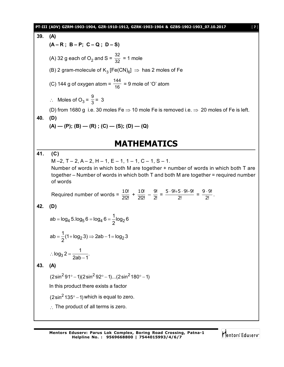|                                                            | PT-III (ADV) GZRM-1903-1904, GZR-1910-1912, GZRK-1903-1904 & GZBS-1902-1903_07.10.2017<br>$[7]$                                                                                                                                                           |  |  |  |  |  |  |
|------------------------------------------------------------|-----------------------------------------------------------------------------------------------------------------------------------------------------------------------------------------------------------------------------------------------------------|--|--|--|--|--|--|
| 39.                                                        | (A)                                                                                                                                                                                                                                                       |  |  |  |  |  |  |
|                                                            | $(A - R; B - P; C - Q; D - S)$                                                                                                                                                                                                                            |  |  |  |  |  |  |
|                                                            | (A) 32 g each of O <sub>2</sub> and S = $\frac{32}{32}$ = 1 mole                                                                                                                                                                                          |  |  |  |  |  |  |
|                                                            | (B) 2 gram-molecule of $K_3$ [Fe(CN) <sub>6</sub> ] $\Rightarrow$ has 2 moles of Fe                                                                                                                                                                       |  |  |  |  |  |  |
|                                                            | (C) 144 g of oxygen atom = $\frac{144}{16}$ = 9 mole of 'O' atom                                                                                                                                                                                          |  |  |  |  |  |  |
|                                                            | $\therefore$ Moles of O <sub>3</sub> = $\frac{9}{3}$ = 3                                                                                                                                                                                                  |  |  |  |  |  |  |
|                                                            | (D) from 1680 g i.e. 30 moles Fe $\Rightarrow$ 10 mole Fe is removed i.e. $\Rightarrow$ 20 moles of Fe is left.                                                                                                                                           |  |  |  |  |  |  |
| 40.                                                        | (D)                                                                                                                                                                                                                                                       |  |  |  |  |  |  |
|                                                            | $(A)$ — (P); (B) — (R); (C) — (S); (D) — (Q)                                                                                                                                                                                                              |  |  |  |  |  |  |
|                                                            | <b>MATHEMATICS</b>                                                                                                                                                                                                                                        |  |  |  |  |  |  |
| 41.                                                        | (C)<br>$M-2$ , T - 2, A - 2, H - 1, E - 1, 1 - 1, C - 1, S - 1.<br>Number of words in which both M are together + number of words in which both T are<br>together – Number of words in which both T and both M are together = required number<br>of words |  |  |  |  |  |  |
|                                                            | Required number of words = $\frac{10!}{2!2!} + \frac{10!}{2!2!} - \frac{9!}{2!} = \frac{5 \cdot 9! + 5 \cdot 9! - 9!}{2!} = \frac{9 \cdot 9!}{2!}$ .                                                                                                      |  |  |  |  |  |  |
| 42.                                                        | (D)                                                                                                                                                                                                                                                       |  |  |  |  |  |  |
| ab = $\log_4 5.\log_5 6 = \log_4 6 = \frac{1}{2} \log_2 6$ |                                                                                                                                                                                                                                                           |  |  |  |  |  |  |
|                                                            | $ab = \frac{1}{2}(1 + \log_2 3) \Rightarrow 2ab - 1 = \log_2 3$                                                                                                                                                                                           |  |  |  |  |  |  |
|                                                            | $\therefore \log_3 2 = \frac{1}{2ab-1}.$                                                                                                                                                                                                                  |  |  |  |  |  |  |
| 43.                                                        | (A)                                                                                                                                                                                                                                                       |  |  |  |  |  |  |
|                                                            | $(2\sin^2 91^\circ - 1)(2\sin^2 92^\circ - 1)(2\sin^2 180^\circ - 1)$                                                                                                                                                                                     |  |  |  |  |  |  |
|                                                            | In this product there exists a factor                                                                                                                                                                                                                     |  |  |  |  |  |  |
|                                                            | $(2\sin^2 135^\circ - 1)$ which is equal to zero.                                                                                                                                                                                                         |  |  |  |  |  |  |
|                                                            | $\therefore$ The product of all terms is zero.                                                                                                                                                                                                            |  |  |  |  |  |  |
|                                                            |                                                                                                                                                                                                                                                           |  |  |  |  |  |  |

Mentors<sup>e</sup> Eduserv<sup>-</sup>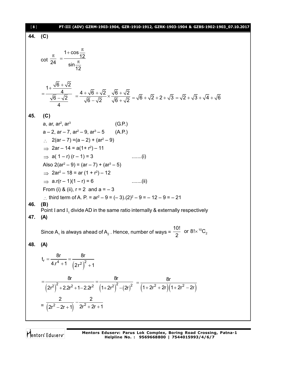| [8] | PT-III (ADV) GZRM-1903-1904, GZR-1910-1912, GZRK-1903-1904 & GZBS-1902-1903_07.10.2017                                                                                                                                               |  |  |  |  |
|-----|--------------------------------------------------------------------------------------------------------------------------------------------------------------------------------------------------------------------------------------|--|--|--|--|
| 44. | (C)                                                                                                                                                                                                                                  |  |  |  |  |
|     |                                                                                                                                                                                                                                      |  |  |  |  |
|     | cot $\frac{\pi}{24} = \frac{1 + \cos \frac{\pi}{12}}{\sin \frac{\pi}{42}}$                                                                                                                                                           |  |  |  |  |
|     | $=\frac{1+\frac{\sqrt{6}+\sqrt{2}}{4}}{\frac{\sqrt{6}-\sqrt{2}}{4}}=\frac{4+\sqrt{6}+\sqrt{2}}{\sqrt{6}-\sqrt{2}}\times\frac{\sqrt{6}+\sqrt{2}}{\sqrt{6}+\sqrt{2}}=\sqrt{6}+\sqrt{2}+2+\sqrt{3}=\sqrt{2}+\sqrt{3}+\sqrt{4}+\sqrt{6}$ |  |  |  |  |
| 45. | (C)                                                                                                                                                                                                                                  |  |  |  |  |
|     | a, ar, $ar^2$ , $ar^3$<br>(G.P.)                                                                                                                                                                                                     |  |  |  |  |
|     | $a - 2$ , ar $-7$ , ar <sup>2</sup> $-9$ , ar <sup>3</sup> $-5$ (A.P.)                                                                                                                                                               |  |  |  |  |
|     | $\therefore$ 2(ar – 7) = (a – 2) + (ar <sup>2</sup> – 9)                                                                                                                                                                             |  |  |  |  |
|     | $\implies$ 2ar – 14 = a(1+ r <sup>2</sup> ) – 11                                                                                                                                                                                     |  |  |  |  |
|     | $\Rightarrow$ a( 1 – r) (r – 1) = 3<br>$\dots\dots\dots(i)$                                                                                                                                                                          |  |  |  |  |
|     | Also $2(ar^2 - 9) = (ar - 7) + (ar^3 - 5)$                                                                                                                                                                                           |  |  |  |  |
|     | $\Rightarrow$ 2ar <sup>2</sup> - 18 = ar (1 + r <sup>2</sup> ) - 12                                                                                                                                                                  |  |  |  |  |
|     | $\implies$ a.r(r – 1)(1 – r) = 6<br>$\ldots$ (ii)                                                                                                                                                                                    |  |  |  |  |
|     | From (i) & (ii), $r = 2$ and $a = -3$                                                                                                                                                                                                |  |  |  |  |
|     | : third term of A. P. = $ar^2 - 9 = (-3)(2)^2 - 9 = -12 - 9 = -21$                                                                                                                                                                   |  |  |  |  |
| 46. | (B)<br>Point I and $I_1$ divide AD in the same ratio internally & externally respectively                                                                                                                                            |  |  |  |  |
| 47. | (A)                                                                                                                                                                                                                                  |  |  |  |  |
|     | Since A <sub>1</sub> is always ahead of A <sub>2</sub> . Hence, number of ways = $\frac{10!}{2}$ or 8! $\times$ <sup>10</sup> C <sub>2</sub>                                                                                         |  |  |  |  |
| 48. | (A)                                                                                                                                                                                                                                  |  |  |  |  |
|     | $t_r = \frac{8r}{4r^4 + 1} = \frac{8r}{(2r^2)^2 + 1}$                                                                                                                                                                                |  |  |  |  |
|     | $=\frac{6t}{(2r^2)^2+2.2r^2+1-2.2r^2}=\frac{6t}{(1+2r^2)^2-(2r)^2}=\frac{6t}{(1+2r^2+2r)(1+2r^2-2r)}$                                                                                                                                |  |  |  |  |
|     | $=\frac{2}{(2r^2-2r+1)}-\frac{2}{2r^2+2r+1}$                                                                                                                                                                                         |  |  |  |  |

Mentors<sup>®</sup> Eduserv<sup>®</sup>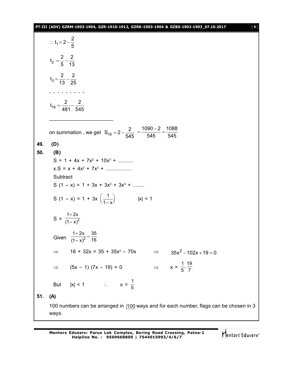|     | PT-III (ADV) GZRM-1903-1904, GZR-1910-1912, GZRK-1903-1904 & GZBS-1902-1903_07.10.2017<br>$[9]$ |  |  |  |  |  |  |  |
|-----|-------------------------------------------------------------------------------------------------|--|--|--|--|--|--|--|
|     | : $t_1 = 2 - \frac{2}{5}$                                                                       |  |  |  |  |  |  |  |
|     | $t_2 = \frac{2}{5} - \frac{2}{13}$                                                              |  |  |  |  |  |  |  |
|     | $t_3 = \frac{2}{13} - \frac{2}{25}$                                                             |  |  |  |  |  |  |  |
|     |                                                                                                 |  |  |  |  |  |  |  |
|     | $t_{16} = \frac{2}{481} - \frac{2}{545}$                                                        |  |  |  |  |  |  |  |
|     | on summation, we get $S_{16} = 2 - \frac{2}{545} = \frac{1090 - 2}{545} = \frac{1088}{545}$     |  |  |  |  |  |  |  |
| 49. | (D)                                                                                             |  |  |  |  |  |  |  |
| 50. | (B)                                                                                             |  |  |  |  |  |  |  |
|     | $S = 1 + 4x + 7x^{2} + 10x^{3} + \dots$                                                         |  |  |  |  |  |  |  |
|     | $x.S = x + 4x^2 + 7x^3 + \dots$                                                                 |  |  |  |  |  |  |  |
|     | Subtract<br>S $(1 - x) = 1 + 3x + 3x^{2} + 3x^{3} + \dots$                                      |  |  |  |  |  |  |  |
|     |                                                                                                 |  |  |  |  |  |  |  |
|     | S $(1 - x) = 1 + 3x \left(\frac{1}{1 - x}\right)$<br> x  < 1                                    |  |  |  |  |  |  |  |
|     | S = $\frac{1+2x}{(1-x)^2}$                                                                      |  |  |  |  |  |  |  |
|     | $\frac{1+2x}{(1-x)^2} = \frac{35}{16}$<br>Given                                                 |  |  |  |  |  |  |  |
|     | $16 + 32x = 35 + 35x^2 - 70x$<br>$\implies$ 35x <sup>2</sup> – 102x + 19 = 0<br>$\Rightarrow$   |  |  |  |  |  |  |  |
|     | $\Rightarrow$ $x = \frac{1}{5}, \frac{19}{7}$<br>$\Rightarrow$ (5x - 1) (7x - 19) = 0           |  |  |  |  |  |  |  |
|     | But $ x  < 1$ : $x = \frac{1}{5}$                                                               |  |  |  |  |  |  |  |
| 51. | (A)                                                                                             |  |  |  |  |  |  |  |
|     | 100 numbers can be arranged in  100 ways and for each number, flags can be chosen in 3<br>ways. |  |  |  |  |  |  |  |

Mentors<sup>e</sup> Eduserv<sup>-</sup>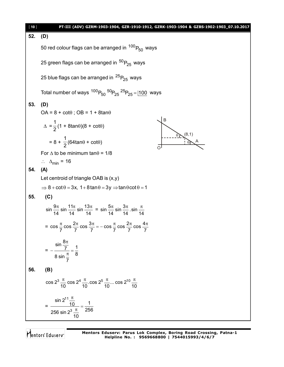

Mentors<sup>®</sup> Eduserv<sup>®</sup>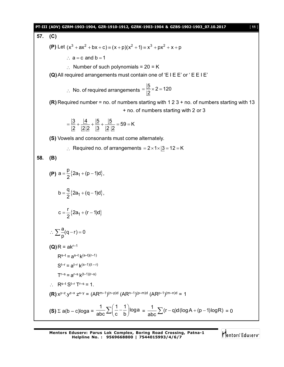### **PT-III (ADV) GZRM-1903-1904, GZR-1910-1912, GZRK-1903-1904 & GZBS-1902-1903\_07.10.2017** [ **11** ] **57. (C) (P)** Let  $(x^3 + ax^2 + bx + c) = (x + b)(x^2 + 1) = x^3 + bx^2 + x + b$  $\therefore$  a = c and b = 1 Number of such polynomials =  $20 = K$ **(Q)**All required arrangements must contain one of 'E I E E' or ' E E I E'  $\therefore$  No. of required arrangements  $\frac{5}{3}$  × 2 = 120 2  $=\frac{16}{12}\times 2=$ **(R)** Required number = no. of numbers starting with 1 2 3 + no. of numbers starting with 13 + no. of numbers starting with 2 or 3  $\frac{3}{6} + \frac{4}{1816} + \frac{5}{18} + \frac{5}{1818} = 59 = K$  $2 \quad 2 \quad 3 \quad 2 \quad 2$  $=\frac{12}{12}+\frac{11}{12}+\frac{12}{12}+\frac{12}{12}=\frac{59}{12}$ **(S)** Vowels and consonants must come alternately.  $\therefore$  Required no. of arrangements =  $2 \times 1 \times 3 = 12 = K$ **58. (B) (P)**  $a = \frac{P}{2} \{ 2a_1 + (p-1)d \},$  $a = \frac{p}{2} \{ 2a_1 + (p-1)d \},$ 2  $=\frac{P}{2}$ {2a<sub>1</sub> + (p – 1  ${2a_1 + (q-1)d}$ b =  $\frac{q}{6}$ {2a<sub>1</sub> + (q - 1)d}, 2  $=\frac{9}{2}$ {2a<sub>1</sub> + (q – 1  ${2a_1 + (r-1)d}$  $c = \frac{r}{2} \{ 2a_1 + (r - 1)d \}$ 2  $=\frac{1}{2}$ {2a<sub>1</sub> + (r – 1  $\frac{a}{a}(q-r) = 0$  $\therefore \sum_{p} \frac{a}{p} (q - r) = 0$  $(Q)$ **R** = ak<sup>r-1</sup>  $R^{s-t} = a^{s-t} k^{(s-t)(r-1)}$  $S^{t-r} = a^{t-r} k^{(s-1)(t-r)}$  $T^{r-s} = a^{r-s} k^{(t-1)(r-s)}$  $R^{s-t} S^{t-r} T^{r-s} = 1$ **(R)**  $x^{y-z} \cdot y^{z-x} \cdot z^{x-y} = (AR^{m-1})^{(n-p)d} (AR^{n-1})^{(p-m)d} (AR^{p-1})^{(m-n)d} = 1$ **(S)**  $\Sigma$  a(b – c)loga =  $\frac{1}{2} \sum_{n=1}^{\infty} \left( \frac{1}{n} - \frac{1}{n} \right)$ loga abc $\leftarrow$ (c b  $\sum \left( \frac{1}{c} - \frac{1}{b} \right)$ loga =  $\frac{1}{abc} \sum (r - q)d(logA + (p - 1)logR) = 0$

Mentors Edusery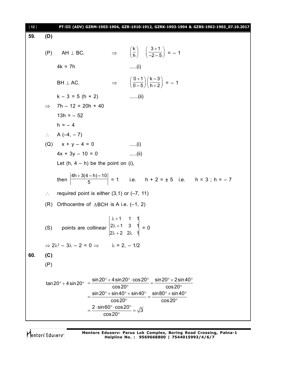| $[12]$ |                                                                                                                                                                                                                                                                                                                                                                                                                   |                                                                                                                            |                                                             | PT-III (ADV) GZRM-1903-1904, GZR-1910-1912, GZRK-1903-1904 & GZBS-1902-1903_07.10.2017        |  |  |  |
|--------|-------------------------------------------------------------------------------------------------------------------------------------------------------------------------------------------------------------------------------------------------------------------------------------------------------------------------------------------------------------------------------------------------------------------|----------------------------------------------------------------------------------------------------------------------------|-------------------------------------------------------------|-----------------------------------------------------------------------------------------------|--|--|--|
| 59.    | (D)                                                                                                                                                                                                                                                                                                                                                                                                               |                                                                                                                            |                                                             |                                                                                               |  |  |  |
|        | (P)                                                                                                                                                                                                                                                                                                                                                                                                               | $AH \perp BC.$                                                                                                             |                                                             | $\Rightarrow$ $\left(\frac{k}{h}\right)$ $\left(\frac{3+1}{-2-5}\right) = -1$                 |  |  |  |
|        |                                                                                                                                                                                                                                                                                                                                                                                                                   | $4k = 7h$                                                                                                                  |                                                             | $\dots(i)$                                                                                    |  |  |  |
|        |                                                                                                                                                                                                                                                                                                                                                                                                                   | $BH \perp AC$ .                                                                                                            |                                                             | $\Rightarrow \left(\frac{0+1}{0-5}\right)\left(\frac{k-3}{h+2}\right) = -1$                   |  |  |  |
|        |                                                                                                                                                                                                                                                                                                                                                                                                                   | $k - 3 = 5 (h + 2)$                                                                                                        |                                                             | $\ldots$ (ii)                                                                                 |  |  |  |
|        |                                                                                                                                                                                                                                                                                                                                                                                                                   | $\implies$ 7h - 12 = 20h + 40                                                                                              |                                                             |                                                                                               |  |  |  |
|        |                                                                                                                                                                                                                                                                                                                                                                                                                   | $13h = -52$                                                                                                                |                                                             |                                                                                               |  |  |  |
|        |                                                                                                                                                                                                                                                                                                                                                                                                                   | $h = -4$                                                                                                                   |                                                             |                                                                                               |  |  |  |
|        |                                                                                                                                                                                                                                                                                                                                                                                                                   | $\therefore$ A (-4, -7)                                                                                                    |                                                             |                                                                                               |  |  |  |
|        |                                                                                                                                                                                                                                                                                                                                                                                                                   | (Q) $x + y - 4 = 0$                                                                                                        |                                                             | $\ldots$ . $(i)$                                                                              |  |  |  |
|        |                                                                                                                                                                                                                                                                                                                                                                                                                   | $4x + 3y - 10 = 0$                                                                                                         |                                                             | $\dots$ (ii)                                                                                  |  |  |  |
|        | Let $(h, 4 - h)$ be the point on (i),                                                                                                                                                                                                                                                                                                                                                                             |                                                                                                                            |                                                             |                                                                                               |  |  |  |
|        |                                                                                                                                                                                                                                                                                                                                                                                                                   |                                                                                                                            |                                                             | then $\left  \frac{4h+3(4-h)-10}{5} \right  = 1$ i.e. $h + 2 = \pm 5$ i.e. $h = 3$ ; $h = -7$ |  |  |  |
|        | required point is either $(3,1)$ or $(-7, 11)$<br>$\mathcal{L}_{\mathcal{C}}$                                                                                                                                                                                                                                                                                                                                     |                                                                                                                            |                                                             |                                                                                               |  |  |  |
|        | Orthocentre of $\triangle$ BCH is A i.e. (-1, 2)<br>(R)                                                                                                                                                                                                                                                                                                                                                           |                                                                                                                            |                                                             |                                                                                               |  |  |  |
|        |                                                                                                                                                                                                                                                                                                                                                                                                                   | (S) points are collinear $\begin{vmatrix} \lambda+1 & 1 & 1 \\ 2\lambda+1 & 3 & 1 \\ 2\lambda+1 & 3 & 1 \end{vmatrix} = 0$ | $\begin{vmatrix} 2\lambda + 2 & 2\lambda & 1 \end{vmatrix}$ |                                                                                               |  |  |  |
|        | $\Rightarrow$ 2 $\lambda^2$ - 3 $\lambda$ - 2 = 0 $\Rightarrow$ $\lambda$ = 2, - 1/2                                                                                                                                                                                                                                                                                                                              |                                                                                                                            |                                                             |                                                                                               |  |  |  |
| 60.    | (C)                                                                                                                                                                                                                                                                                                                                                                                                               |                                                                                                                            |                                                             |                                                                                               |  |  |  |
|        | (P)                                                                                                                                                                                                                                                                                                                                                                                                               |                                                                                                                            |                                                             |                                                                                               |  |  |  |
|        | $\tan 20^{\circ} + 4 \sin 20^{\circ} = \frac{\sin 20^{\circ} + 4 \sin 20^{\circ} \cdot \cos 20^{\circ}}{4} = \frac{\sin 20^{\circ} + 2 \sin 40^{\circ}}{4}$<br>$\cos 20^\circ$<br>$\cos 20^\circ$<br>$\sin 20^{\circ} + \sin 40^{\circ} + \sin 40^{\circ}$ $\sin 80^{\circ} + \sin 40^{\circ}$<br>$\cos 20^\circ$<br>$\cos 20^\circ$<br>$2 \cdot \sin 60^\circ \cdot \cos 20^\circ = \sqrt{3}$<br>$\cos 20^\circ$ |                                                                                                                            |                                                             |                                                                                               |  |  |  |

Mentors<sup>®</sup> Eduserv<sup>®</sup>

Mentors Eduserv: Parus Lok Complex, Boring Road Crossing, Patna-1<br>Helpline No.: 9569668800 | 7544015993/4/6/7